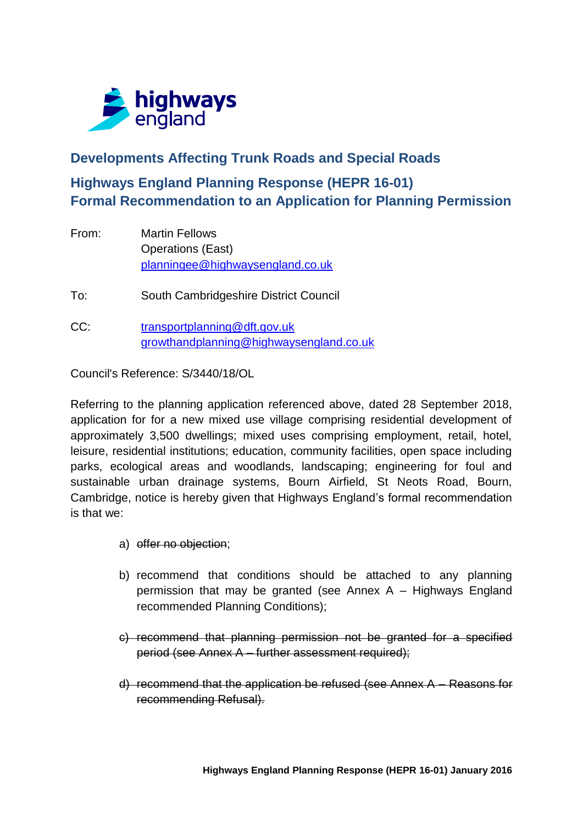

## **Developments Affecting Trunk Roads and Special Roads**

# **Highways England Planning Response (HEPR 16-01) Formal Recommendation to an Application for Planning Permission**

From: Martin Fellows Operations (East) [planningee@highwaysengland.co.uk](mailto:planningee@highwaysengland.co.uk)

To: South Cambridgeshire District Council

CC: [transportplanning@dft.gov.uk](mailto:transportplanning@dft.gov.uk) [growthandplanning@highwaysengland.co.uk](mailto:growthandplanning@highwaysengland.co.uk)

Council's Reference: S/3440/18/OL

Referring to the planning application referenced above, dated 28 September 2018, application for for a new mixed use village comprising residential development of approximately 3,500 dwellings; mixed uses comprising employment, retail, hotel, leisure, residential institutions; education, community facilities, open space including parks, ecological areas and woodlands, landscaping; engineering for foul and sustainable urban drainage systems, Bourn Airfield, St Neots Road, Bourn, Cambridge, notice is hereby given that Highways England's formal recommendation is that we:

- a) offer no objection;
- b) recommend that conditions should be attached to any planning permission that may be granted (see Annex A – Highways England recommended Planning Conditions);
- c) recommend that planning permission not be granted for a specified period (see Annex A – further assessment required);
- d) recommend that the application be refused (see Annex A Reasons for recommending Refusal).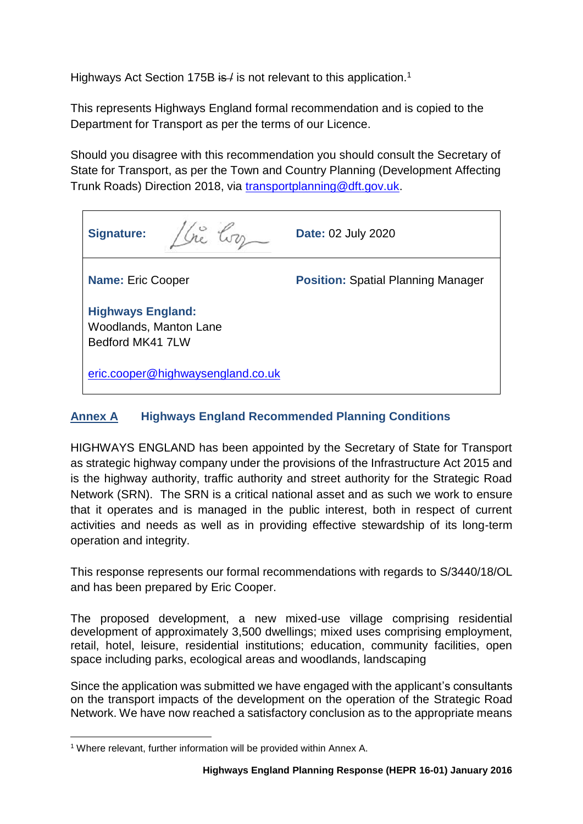Highways Act Section 175B is / is not relevant to this application.<sup>1</sup>

This represents Highways England formal recommendation and is copied to the Department for Transport as per the terms of our Licence.

Should you disagree with this recommendation you should consult the Secretary of State for Transport, as per the Town and Country Planning (Development Affecting Trunk Roads) Direction 2018, via [transportplanning@dft.gov.uk.](mailto:transportplanning@dft.gov.uk)

| <b>Signature:</b>                                                             | Date: 02 July 2020                        |
|-------------------------------------------------------------------------------|-------------------------------------------|
| <b>Name: Eric Cooper</b>                                                      | <b>Position: Spatial Planning Manager</b> |
| <b>Highways England:</b><br><b>Woodlands, Manton Lane</b><br>Bedford MK41 7LW |                                           |
| eric.cooper@highwaysengland.co.uk                                             |                                           |

### **Annex A Highways England Recommended Planning Conditions**

HIGHWAYS ENGLAND has been appointed by the Secretary of State for Transport as strategic highway company under the provisions of the Infrastructure Act 2015 and is the highway authority, traffic authority and street authority for the Strategic Road Network (SRN). The SRN is a critical national asset and as such we work to ensure that it operates and is managed in the public interest, both in respect of current activities and needs as well as in providing effective stewardship of its long-term operation and integrity.

This response represents our formal recommendations with regards to S/3440/18/OL and has been prepared by Eric Cooper.

The proposed development, a new mixed-use village comprising residential development of approximately 3,500 dwellings; mixed uses comprising employment, retail, hotel, leisure, residential institutions; education, community facilities, open space including parks, ecological areas and woodlands, landscaping

Since the application was submitted we have engaged with the applicant's consultants on the transport impacts of the development on the operation of the Strategic Road Network. We have now reached a satisfactory conclusion as to the appropriate means

<sup>1</sup> <sup>1</sup> Where relevant, further information will be provided within Annex A.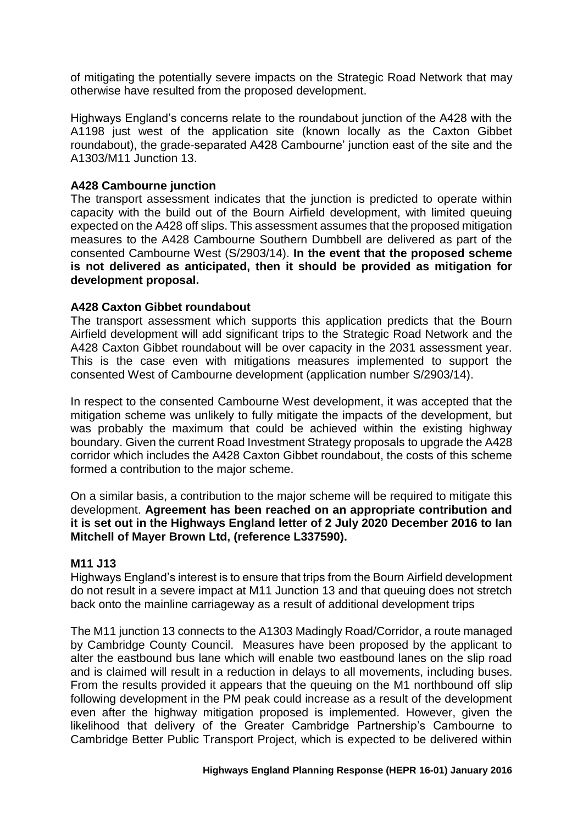of mitigating the potentially severe impacts on the Strategic Road Network that may otherwise have resulted from the proposed development.

Highways England's concerns relate to the roundabout junction of the A428 with the A1198 just west of the application site (known locally as the Caxton Gibbet roundabout), the grade-separated A428 Cambourne' junction east of the site and the A1303/M11 Junction 13.

### **A428 Cambourne junction**

The transport assessment indicates that the junction is predicted to operate within capacity with the build out of the Bourn Airfield development, with limited queuing expected on the A428 off slips. This assessment assumes that the proposed mitigation measures to the A428 Cambourne Southern Dumbbell are delivered as part of the consented Cambourne West (S/2903/14). **In the event that the proposed scheme is not delivered as anticipated, then it should be provided as mitigation for development proposal.** 

#### **A428 Caxton Gibbet roundabout**

The transport assessment which supports this application predicts that the Bourn Airfield development will add significant trips to the Strategic Road Network and the A428 Caxton Gibbet roundabout will be over capacity in the 2031 assessment year. This is the case even with mitigations measures implemented to support the consented West of Cambourne development (application number S/2903/14).

In respect to the consented Cambourne West development, it was accepted that the mitigation scheme was unlikely to fully mitigate the impacts of the development, but was probably the maximum that could be achieved within the existing highway boundary. Given the current Road Investment Strategy proposals to upgrade the A428 corridor which includes the A428 Caxton Gibbet roundabout, the costs of this scheme formed a contribution to the major scheme.

On a similar basis, a contribution to the major scheme will be required to mitigate this development. **Agreement has been reached on an appropriate contribution and it is set out in the Highways England letter of 2 July 2020 December 2016 to Ian Mitchell of Mayer Brown Ltd, (reference L337590).**

#### **M11 J13**

Highways England's interest is to ensure that trips from the Bourn Airfield development do not result in a severe impact at M11 Junction 13 and that queuing does not stretch back onto the mainline carriageway as a result of additional development trips

The M11 junction 13 connects to the A1303 Madingly Road/Corridor, a route managed by Cambridge County Council. Measures have been proposed by the applicant to alter the eastbound bus lane which will enable two eastbound lanes on the slip road and is claimed will result in a reduction in delays to all movements, including buses. From the results provided it appears that the queuing on the M1 northbound off slip following development in the PM peak could increase as a result of the development even after the highway mitigation proposed is implemented. However, given the likelihood that delivery of the Greater Cambridge Partnership's Cambourne to Cambridge Better Public Transport Project, which is expected to be delivered within